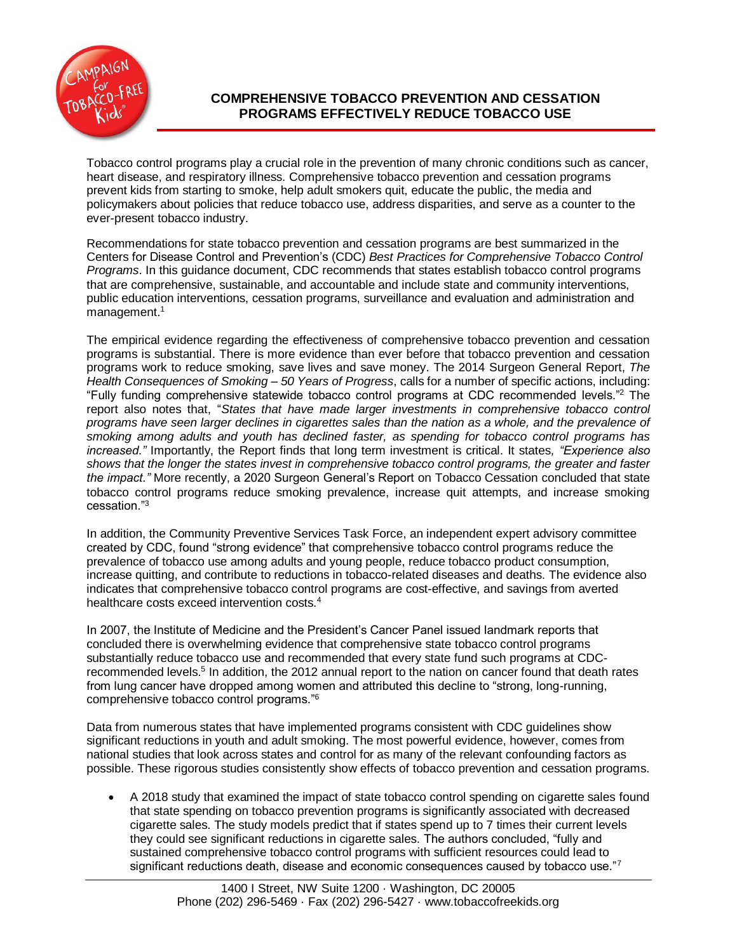

# **COMPREHENSIVE TOBACCO PREVENTION AND CESSATION PROGRAMS EFFECTIVELY REDUCE TOBACCO USE**

Tobacco control programs play a crucial role in the prevention of many chronic conditions such as cancer, heart disease, and respiratory illness. Comprehensive tobacco prevention and cessation programs prevent kids from starting to smoke, help adult smokers quit, educate the public, the media and policymakers about policies that reduce tobacco use, address disparities, and serve as a counter to the ever-present tobacco industry.

Recommendations for state tobacco prevention and cessation programs are best summarized in the Centers for Disease Control and Prevention's (CDC) *Best Practices for Comprehensive Tobacco Control Programs*. In this guidance document, CDC recommends that states establish tobacco control programs that are comprehensive, sustainable, and accountable and include state and community interventions, public education interventions, cessation programs, surveillance and evaluation and administration and management.<sup>1</sup>

The empirical evidence regarding the effectiveness of comprehensive tobacco prevention and cessation programs is substantial. There is more evidence than ever before that tobacco prevention and cessation programs work to reduce smoking, save lives and save money. The 2014 Surgeon General Report, *The Health Consequences of Smoking – 50 Years of Progress*, calls for a number of specific actions, including: "Fully funding comprehensive statewide tobacco control programs at CDC recommended levels."<sup>2</sup> The report also notes that, "*States that have made larger investments in comprehensive tobacco control programs have seen larger declines in cigarettes sales than the nation as a whole, and the prevalence of smoking among adults and youth has declined faster, as spending for tobacco control programs has increased."* Importantly, the Report finds that long term investment is critical. It states*, "Experience also shows that the longer the states invest in comprehensive tobacco control programs, the greater and faster the impact."* More recently, a 2020 Surgeon General's Report on Tobacco Cessation concluded that state tobacco control programs reduce smoking prevalence, increase quit attempts, and increase smoking cessation."<sup>3</sup>

In addition, the Community Preventive Services Task Force, an independent expert advisory committee created by CDC, found "strong evidence" that comprehensive tobacco control programs reduce the prevalence of tobacco use among adults and young people, reduce tobacco product consumption, increase quitting, and contribute to reductions in tobacco-related diseases and deaths. The evidence also indicates that comprehensive tobacco control programs are cost-effective, and savings from averted healthcare costs exceed intervention costs.<sup>4</sup>

In 2007, the Institute of Medicine and the President's Cancer Panel issued landmark reports that concluded there is overwhelming evidence that comprehensive state tobacco control programs substantially reduce tobacco use and recommended that every state fund such programs at CDCrecommended levels.<sup>5</sup> In addition, the 2012 annual report to the nation on cancer found that death rates from lung cancer have dropped among women and attributed this decline to "strong, long-running, comprehensive tobacco control programs."<sup>6</sup>

Data from numerous states that have implemented programs consistent with CDC guidelines show significant reductions in youth and adult smoking. The most powerful evidence, however, comes from national studies that look across states and control for as many of the relevant confounding factors as possible. These rigorous studies consistently show effects of tobacco prevention and cessation programs.

 A 2018 study that examined the impact of state tobacco control spending on cigarette sales found that state spending on tobacco prevention programs is significantly associated with decreased cigarette sales. The study models predict that if states spend up to 7 times their current levels they could see significant reductions in cigarette sales. The authors concluded, "fully and sustained comprehensive tobacco control programs with sufficient resources could lead to significant reductions death, disease and economic consequences caused by tobacco use."7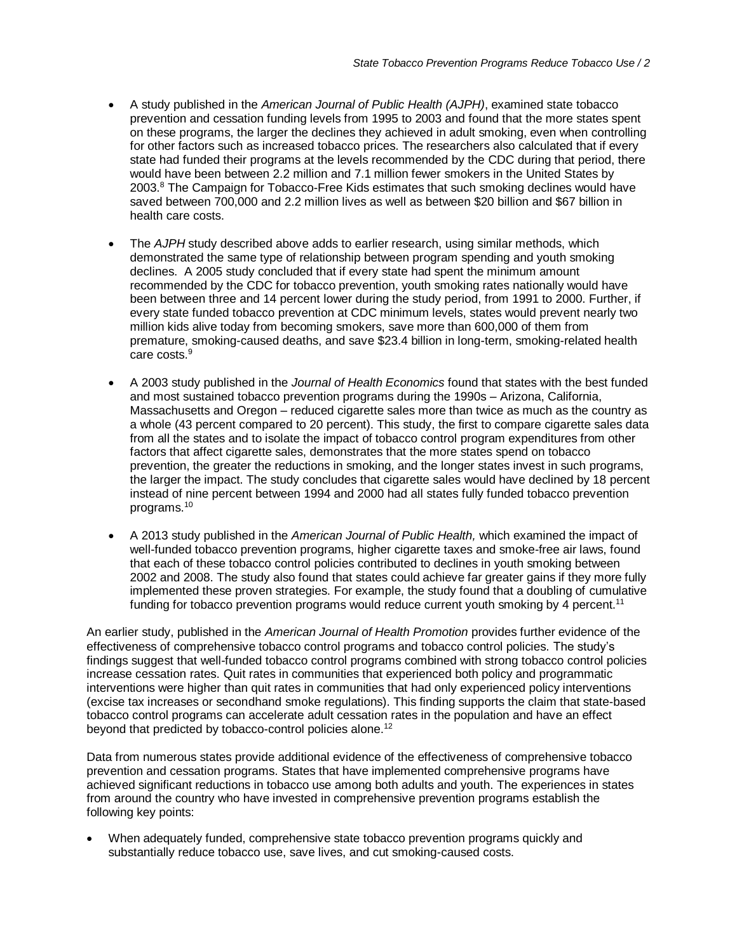- A study published in the *American Journal of Public Health (AJPH)*, examined state tobacco prevention and cessation funding levels from 1995 to 2003 and found that the more states spent on these programs, the larger the declines they achieved in adult smoking, even when controlling for other factors such as increased tobacco prices. The researchers also calculated that if every state had funded their programs at the levels recommended by the CDC during that period, there would have been between 2.2 million and 7.1 million fewer smokers in the United States by  $2003<sup>8</sup>$  The Campaign for Tobacco-Free Kids estimates that such smoking declines would have saved between 700,000 and 2.2 million lives as well as between \$20 billion and \$67 billion in health care costs.
- The *AJPH* study described above adds to earlier research, using similar methods, which demonstrated the same type of relationship between program spending and youth smoking declines. A 2005 study concluded that if every state had spent the minimum amount recommended by the CDC for tobacco prevention, youth smoking rates nationally would have been between three and 14 percent lower during the study period, from 1991 to 2000. Further, if every state funded tobacco prevention at CDC minimum levels, states would prevent nearly two million kids alive today from becoming smokers, save more than 600,000 of them from premature, smoking-caused deaths, and save \$23.4 billion in long-term, smoking-related health care costs.<sup>9</sup>
- A 2003 study published in the *Journal of Health Economics* found that states with the best funded and most sustained tobacco prevention programs during the 1990s – Arizona, California, Massachusetts and Oregon – reduced cigarette sales more than twice as much as the country as a whole (43 percent compared to 20 percent). This study, the first to compare cigarette sales data from all the states and to isolate the impact of tobacco control program expenditures from other factors that affect cigarette sales, demonstrates that the more states spend on tobacco prevention, the greater the reductions in smoking, and the longer states invest in such programs, the larger the impact. The study concludes that cigarette sales would have declined by 18 percent instead of nine percent between 1994 and 2000 had all states fully funded tobacco prevention programs.<sup>10</sup>
- A 2013 study published in the *American Journal of Public Health,* which examined the impact of well-funded tobacco prevention programs, higher cigarette taxes and smoke-free air laws, found that each of these tobacco control policies contributed to declines in youth smoking between 2002 and 2008. The study also found that states could achieve far greater gains if they more fully implemented these proven strategies. For example, the study found that a doubling of cumulative funding for tobacco prevention programs would reduce current youth smoking by 4 percent.<sup>11</sup>

An earlier study, published in the *American Journal of Health Promotion* provides further evidence of the effectiveness of comprehensive tobacco control programs and tobacco control policies. The study's findings suggest that well-funded tobacco control programs combined with strong tobacco control policies increase cessation rates. Quit rates in communities that experienced both policy and programmatic interventions were higher than quit rates in communities that had only experienced policy interventions (excise tax increases or secondhand smoke regulations). This finding supports the claim that state-based tobacco control programs can accelerate adult cessation rates in the population and have an effect beyond that predicted by tobacco-control policies alone.<sup>12</sup>

Data from numerous states provide additional evidence of the effectiveness of comprehensive tobacco prevention and cessation programs. States that have implemented comprehensive programs have achieved significant reductions in tobacco use among both adults and youth. The experiences in states from around the country who have invested in comprehensive prevention programs establish the following key points:

 When adequately funded, comprehensive state tobacco prevention programs quickly and substantially reduce tobacco use, save lives, and cut smoking-caused costs.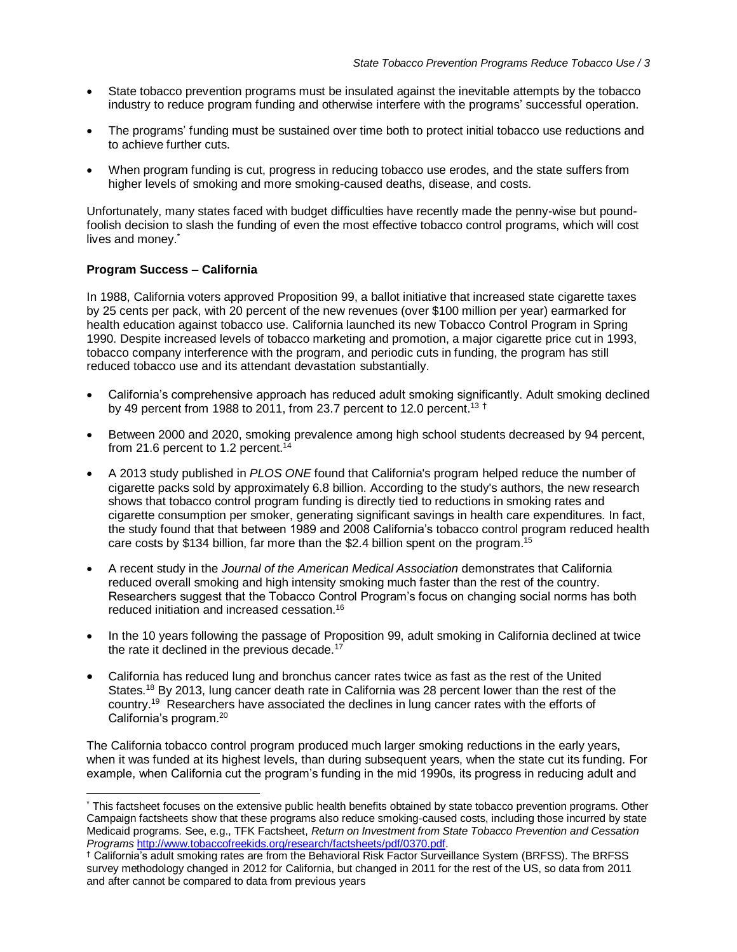- State tobacco prevention programs must be insulated against the inevitable attempts by the tobacco industry to reduce program funding and otherwise interfere with the programs' successful operation.
- The programs' funding must be sustained over time both to protect initial tobacco use reductions and to achieve further cuts.
- When program funding is cut, progress in reducing tobacco use erodes, and the state suffers from higher levels of smoking and more smoking-caused deaths, disease, and costs.

Unfortunately, many states faced with budget difficulties have recently made the penny-wise but poundfoolish decision to slash the funding of even the most effective tobacco control programs, which will cost lives and money.\*

# **Program Success – California**

 $\overline{a}$ 

In 1988, California voters approved Proposition 99, a ballot initiative that increased state cigarette taxes by 25 cents per pack, with 20 percent of the new revenues (over \$100 million per year) earmarked for health education against tobacco use. California launched its new Tobacco Control Program in Spring 1990. Despite increased levels of tobacco marketing and promotion, a major cigarette price cut in 1993, tobacco company interference with the program, and periodic cuts in funding, the program has still reduced tobacco use and its attendant devastation substantially.

- California's comprehensive approach has reduced adult smoking significantly. Adult smoking declined by 49 percent from 1988 to 2011, from 23.7 percent to 12.0 percent.<sup>13 †</sup>
- Between 2000 and 2020, smoking prevalence among high school students decreased by 94 percent, from 21.6 percent to 1.2 percent.<sup>14</sup>
- A 2013 study published in *PLOS ONE* found that California's program helped reduce the number of cigarette packs sold by approximately 6.8 billion. According to the study's authors, the new research shows that tobacco control program funding is directly tied to reductions in smoking rates and cigarette consumption per smoker, generating significant savings in health care expenditures. In fact, the study found that that between 1989 and 2008 California's tobacco control program reduced health care costs by \$134 billion, far more than the \$2.4 billion spent on the program.<sup>15</sup>
- A recent study in the *Journal of the American Medical Association* demonstrates that California reduced overall smoking and high intensity smoking much faster than the rest of the country. Researchers suggest that the Tobacco Control Program's focus on changing social norms has both reduced initiation and increased cessation.<sup>16</sup>
- In the 10 years following the passage of Proposition 99, adult smoking in California declined at twice the rate it declined in the previous decade. $17$
- California has reduced lung and bronchus cancer rates twice as fast as the rest of the United States.<sup>18</sup> By 2013, lung cancer death rate in California was 28 percent lower than the rest of the country.<sup>19</sup> Researchers have associated the declines in lung cancer rates with the efforts of California's program.<sup>20</sup>

The California tobacco control program produced much larger smoking reductions in the early years, when it was funded at its highest levels, than during subsequent years, when the state cut its funding. For example, when California cut the program's funding in the mid 1990s, its progress in reducing adult and

<sup>\*</sup> This factsheet focuses on the extensive public health benefits obtained by state tobacco prevention programs. Other Campaign factsheets show that these programs also reduce smoking-caused costs, including those incurred by state Medicaid programs. See, e.g., TFK Factsheet, *Return on Investment from State Tobacco Prevention and Cessation Programs* [http://www.tobaccofreekids.org/research/factsheets/pdf/0370.pdf.](http://www.tobaccofreekids.org/research/factsheets/pdf/0370.pdf)

<sup>†</sup> California's adult smoking rates are from the Behavioral Risk Factor Surveillance System (BRFSS). The BRFSS survey methodology changed in 2012 for California, but changed in 2011 for the rest of the US, so data from 2011 and after cannot be compared to data from previous years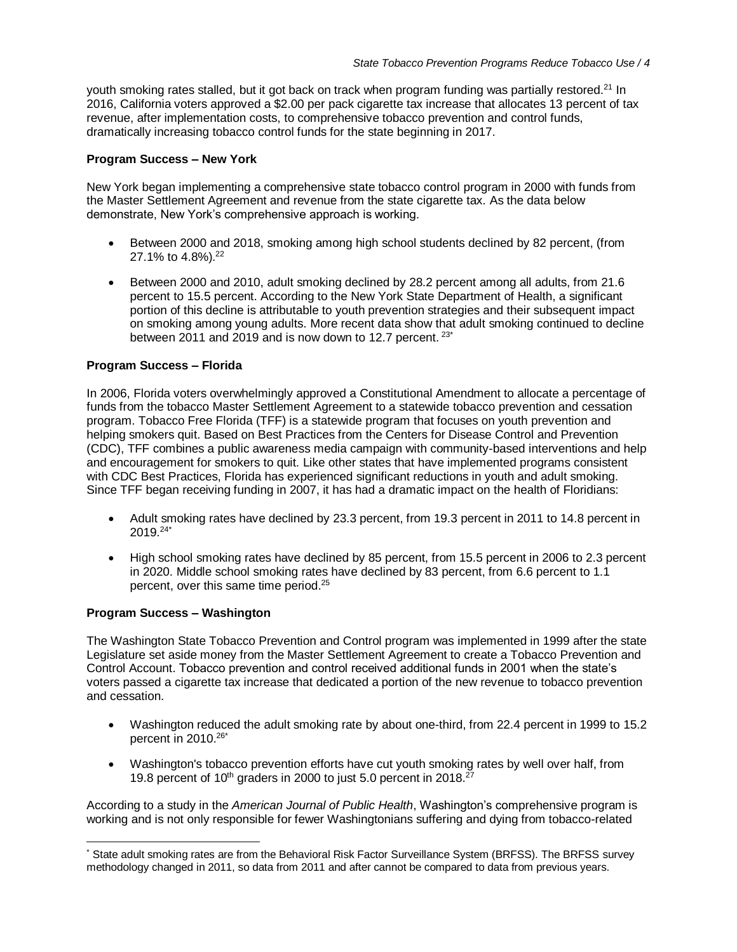youth smoking rates stalled, but it got back on track when program funding was partially restored.<sup>21</sup> In 2016, California voters approved a \$2.00 per pack cigarette tax increase that allocates 13 percent of tax revenue, after implementation costs, to comprehensive tobacco prevention and control funds, dramatically increasing tobacco control funds for the state beginning in 2017.

# **Program Success – New York**

New York began implementing a comprehensive state tobacco control program in 2000 with funds from the Master Settlement Agreement and revenue from the state cigarette tax. As the data below demonstrate, New York's comprehensive approach is working.

- Between 2000 and 2018, smoking among high school students declined by 82 percent, (from 27.1% to 4.8%). 22
- Between 2000 and 2010, adult smoking declined by 28.2 percent among all adults, from 21.6 percent to 15.5 percent. According to the New York State Department of Health, a significant portion of this decline is attributable to youth prevention strategies and their subsequent impact on smoking among young adults. More recent data show that adult smoking continued to decline between 2011 and 2019 and is now down to 12.7 percent.<sup>23\*</sup>

# **Program Success – Florida**

In 2006, Florida voters overwhelmingly approved a Constitutional Amendment to allocate a percentage of funds from the tobacco Master Settlement Agreement to a statewide tobacco prevention and cessation program. Tobacco Free Florida (TFF) is a statewide program that focuses on youth prevention and helping smokers quit. Based on Best Practices from the Centers for Disease Control and Prevention (CDC), TFF combines a public awareness media campaign with community-based interventions and help and encouragement for smokers to quit. Like other states that have implemented programs consistent with CDC Best Practices, Florida has experienced significant reductions in youth and adult smoking. Since TFF began receiving funding in 2007, it has had a dramatic impact on the health of Floridians:

- Adult smoking rates have declined by 23.3 percent, from 19.3 percent in 2011 to 14.8 percent in  $2019.^{24^{*}}$
- High school smoking rates have declined by 85 percent, from 15.5 percent in 2006 to 2.3 percent in 2020. Middle school smoking rates have declined by 83 percent, from 6.6 percent to 1.1 percent, over this same time period. 25

#### **Program Success – Washington**

The Washington State Tobacco Prevention and Control program was implemented in 1999 after the state Legislature set aside money from the Master Settlement Agreement to create a Tobacco Prevention and Control Account. Tobacco prevention and control received additional funds in 2001 when the state's voters passed a cigarette tax increase that dedicated a portion of the new revenue to tobacco prevention and cessation.

- Washington reduced the adult smoking rate by about one-third, from 22.4 percent in 1999 to 15.2 percent in 2010. 26\*
- Washington's tobacco prevention efforts have cut youth smoking rates by well over half, from 19.8 percent of  $10<sup>th</sup>$  graders in 2000 to just 5.0 percent in 2018.<sup>27</sup>

According to a study in the *American Journal of Public Health*, Washington's comprehensive program is working and is not only responsible for fewer Washingtonians suffering and dying from tobacco-related

 $\overline{a}$ \* State adult smoking rates are from the Behavioral Risk Factor Surveillance System (BRFSS). The BRFSS survey methodology changed in 2011, so data from 2011 and after cannot be compared to data from previous years.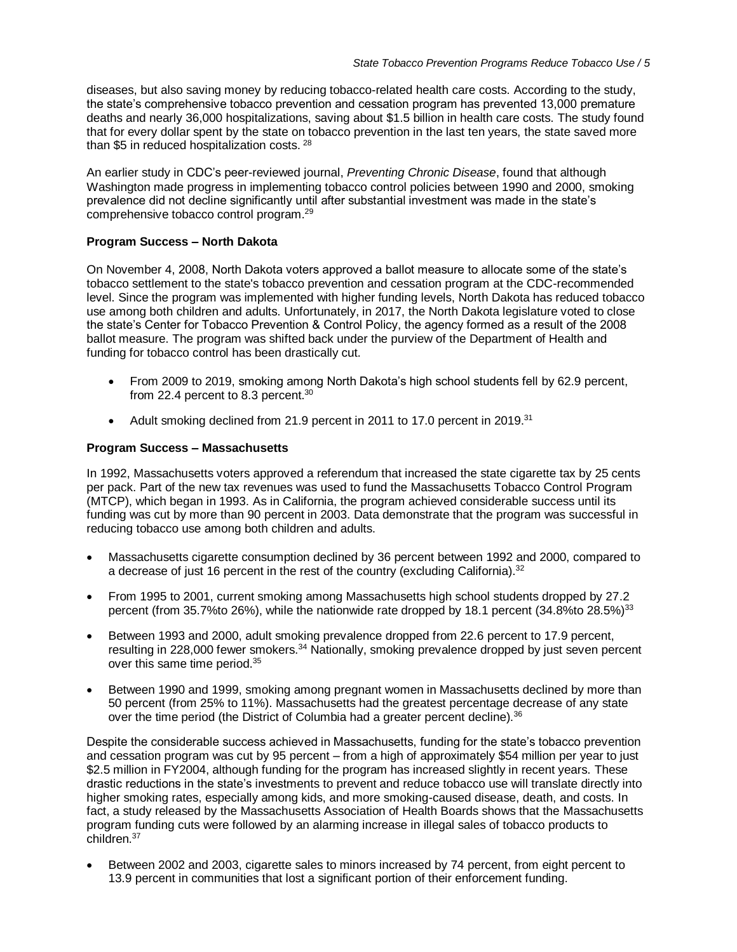diseases, but also saving money by reducing tobacco-related health care costs. According to the study, the state's comprehensive tobacco prevention and cessation program has prevented 13,000 premature deaths and nearly 36,000 hospitalizations, saving about \$1.5 billion in health care costs. The study found that for every dollar spent by the state on tobacco prevention in the last ten years, the state saved more than \$5 in reduced hospitalization costs. <sup>28</sup>

An earlier study in CDC's peer-reviewed journal, *Preventing Chronic Disease*, found that although Washington made progress in implementing tobacco control policies between 1990 and 2000, smoking prevalence did not decline significantly until after substantial investment was made in the state's comprehensive tobacco control program.<sup>29</sup>

# **Program Success – North Dakota**

On November 4, 2008, North Dakota voters approved a ballot measure to allocate some of the state's tobacco settlement to the state's tobacco prevention and cessation program at the CDC-recommended level. Since the program was implemented with higher funding levels, North Dakota has reduced tobacco use among both children and adults. Unfortunately, in 2017, the North Dakota legislature voted to close the state's Center for Tobacco Prevention & Control Policy, the agency formed as a result of the 2008 ballot measure. The program was shifted back under the purview of the Department of Health and funding for tobacco control has been drastically cut.

- From 2009 to 2019, smoking among North Dakota's high school students fell by 62.9 percent, from 22.4 percent to 8.3 percent.<sup>30</sup>
- Adult smoking declined from 21.9 percent in 2011 to 17.0 percent in 2019.<sup>31</sup>

# **Program Success – Massachusetts**

In 1992, Massachusetts voters approved a referendum that increased the state cigarette tax by 25 cents per pack. Part of the new tax revenues was used to fund the Massachusetts Tobacco Control Program (MTCP), which began in 1993. As in California, the program achieved considerable success until its funding was cut by more than 90 percent in 2003. Data demonstrate that the program was successful in reducing tobacco use among both children and adults.

- Massachusetts cigarette consumption declined by 36 percent between 1992 and 2000, compared to a decrease of just 16 percent in the rest of the country (excluding California).<sup>32</sup>
- From 1995 to 2001, current smoking among Massachusetts high school students dropped by 27.2 percent (from 35.7%to 26%), while the nationwide rate dropped by 18.1 percent (34.8%to 28.5%)<sup>33</sup>
- Between 1993 and 2000, adult smoking prevalence dropped from 22.6 percent to 17.9 percent, resulting in 228,000 fewer smokers.<sup>34</sup> Nationally, smoking prevalence dropped by just seven percent over this same time period.<sup>35</sup>
- Between 1990 and 1999, smoking among pregnant women in Massachusetts declined by more than 50 percent (from 25% to 11%). Massachusetts had the greatest percentage decrease of any state over the time period (the District of Columbia had a greater percent decline).<sup>36</sup>

Despite the considerable success achieved in Massachusetts, funding for the state's tobacco prevention and cessation program was cut by 95 percent – from a high of approximately \$54 million per year to just \$2.5 million in FY2004, although funding for the program has increased slightly in recent years. These drastic reductions in the state's investments to prevent and reduce tobacco use will translate directly into higher smoking rates, especially among kids, and more smoking-caused disease, death, and costs. In fact, a study released by the Massachusetts Association of Health Boards shows that the Massachusetts program funding cuts were followed by an alarming increase in illegal sales of tobacco products to children.<sup>37</sup>

 Between 2002 and 2003, cigarette sales to minors increased by 74 percent, from eight percent to 13.9 percent in communities that lost a significant portion of their enforcement funding.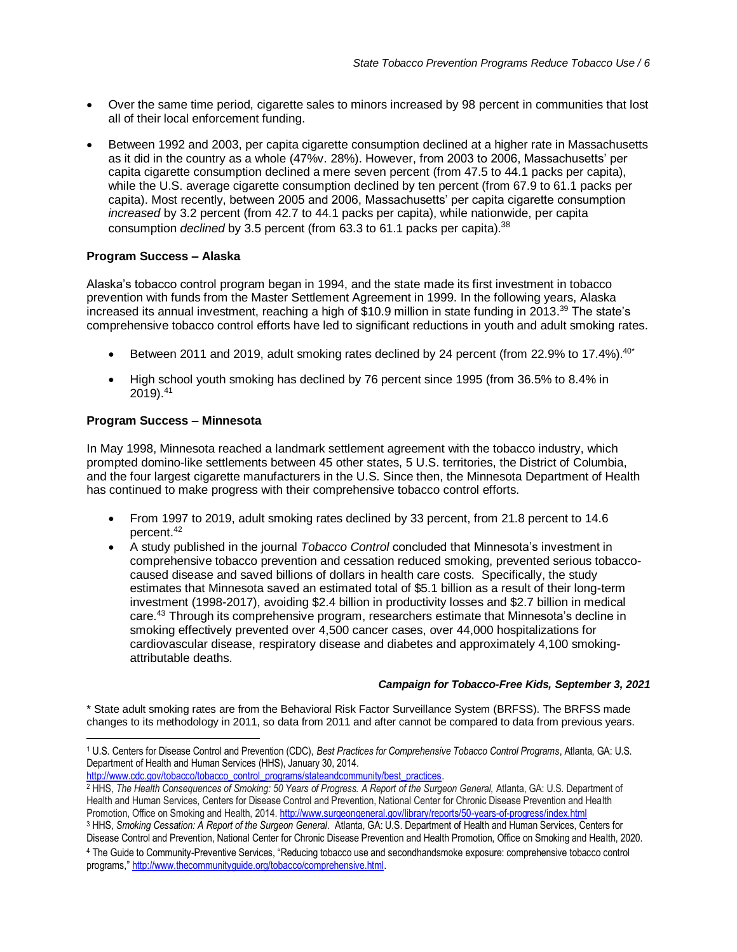- Over the same time period, cigarette sales to minors increased by 98 percent in communities that lost all of their local enforcement funding.
- Between 1992 and 2003, per capita cigarette consumption declined at a higher rate in Massachusetts as it did in the country as a whole (47%v. 28%). However, from 2003 to 2006, Massachusetts' per capita cigarette consumption declined a mere seven percent (from 47.5 to 44.1 packs per capita), while the U.S. average cigarette consumption declined by ten percent (from 67.9 to 61.1 packs per capita). Most recently, between 2005 and 2006, Massachusetts' per capita cigarette consumption *increased* by 3.2 percent (from 42.7 to 44.1 packs per capita), while nationwide, per capita consumption *declined* by 3.5 percent (from 63.3 to 61.1 packs per capita).<sup>38</sup>

# **Program Success – Alaska**

Alaska's tobacco control program began in 1994, and the state made its first investment in tobacco prevention with funds from the Master Settlement Agreement in 1999. In the following years, Alaska increased its annual investment, reaching a high of \$10.9 million in state funding in 2013.<sup>39</sup> The state's comprehensive tobacco control efforts have led to significant reductions in youth and adult smoking rates.

- Extragance Between 2011 and 2019, adult smoking rates declined by 24 percent (from 22.9% to 17.4%).  $40^{\circ}$
- High school youth smoking has declined by 76 percent since 1995 (from 36.5% to 8.4% in 2019).<sup>41</sup>

# **Program Success – Minnesota**

In May 1998, Minnesota reached a landmark settlement agreement with the tobacco industry, which prompted domino-like settlements between 45 other states, 5 U.S. territories, the District of Columbia, and the four largest cigarette manufacturers in the U.S. Since then, the Minnesota Department of Health has continued to make progress with their comprehensive tobacco control efforts.

- From 1997 to 2019, adult smoking rates declined by 33 percent, from 21.8 percent to 14.6 percent.<sup>42</sup>
- A study published in the journal *Tobacco Control* concluded that Minnesota's investment in comprehensive tobacco prevention and cessation reduced smoking, prevented serious tobaccocaused disease and saved billions of dollars in health care costs. Specifically, the study estimates that Minnesota saved an estimated total of \$5.1 billion as a result of their long-term investment (1998-2017), avoiding \$2.4 billion in productivity losses and \$2.7 billion in medical care.<sup>43</sup> Through its comprehensive program, researchers estimate that Minnesota's decline in smoking effectively prevented over 4,500 cancer cases, over 44,000 hospitalizations for cardiovascular disease, respiratory disease and diabetes and approximately 4,100 smokingattributable deaths.

#### *Campaign for Tobacco-Free Kids, September 3, 2021*

\* State adult smoking rates are from the Behavioral Risk Factor Surveillance System (BRFSS). The BRFSS made changes to its methodology in 2011, so data from 2011 and after cannot be compared to data from previous years.

<sup>1</sup> U.S. Centers for Disease Control and Prevention (CDC), *Best Practices for Comprehensive Tobacco Control Programs*, Atlanta, GA: U.S. Department of Health and Human Services (HHS), January 30, 2014.  $\overline{a}$ 

[http://www.cdc.gov/tobacco/tobacco\\_control\\_programs/stateandcommunity/best\\_practices.](http://www.cdc.gov/tobacco/tobacco_control_programs/stateandcommunity/best_practices)

- <sup>2</sup> HHS, The Health Consequences of Smoking: 50 Years of Progress. A Report of the Surgeon General, Atlanta, GA: U.S. Department of Health and Human Services, Centers for Disease Control and Prevention, National Center for Chronic Disease Prevention and Health Promotion, Office on Smoking and Health, 2014[. http://www.surgeongeneral.gov/library/reports/50-years-of-progress/index.html](http://www.surgeongeneral.gov/library/reports/50-years-of-progress/index.html)
- <sup>3</sup> HHS, *Smoking Cessation: A Report of the Surgeon General*. Atlanta, GA: U.S. Department of Health and Human Services, Centers for Disease Control and Prevention, National Center for Chronic Disease Prevention and Health Promotion, Office on Smoking and Health, 2020. <sup>4</sup> The Guide to Community-Preventive Services, "Reducing tobacco use and secondhandsmoke exposure: comprehensive tobacco control programs," [http://www.thecommunityguide.org/tobacco/comprehensive.html.](http://www.thecommunityguide.org/tobacco/comprehensive.html)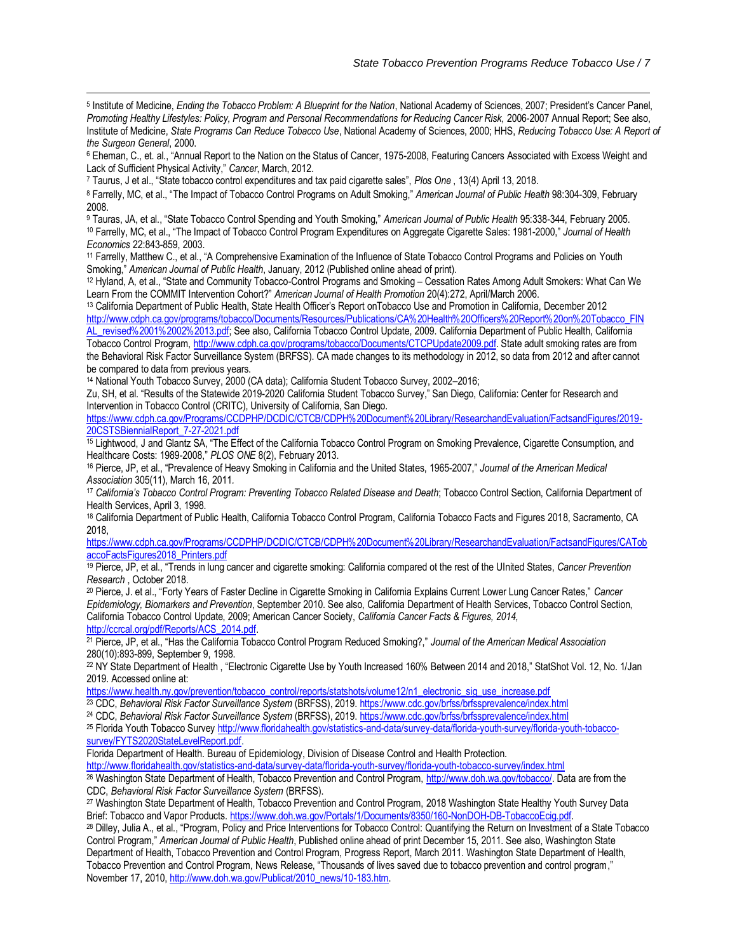5 Institute of Medicine, *Ending the Tobacco Problem: A Blueprint for the Nation*, National Academy of Sciences, 2007; President's Cancer Panel, *Promoting Healthy Lifestyles: Policy, Program and Personal Recommendations for Reducing Cancer Risk,* 2006-2007 Annual Report; See also, Institute of Medicine, *State Programs Can Reduce Tobacco Use*, National Academy of Sciences, 2000; HHS, *Reducing Tobacco Use: A Report of the Surgeon General*, 2000.

<sup>6</sup> Eheman, C., et. al., "Annual Report to the Nation on the Status of Cancer, 1975-2008, Featuring Cancers Associated with Excess Weight and Lack of Sufficient Physical Activity," *Cancer*, March, 2012.

<sup>7</sup> Taurus, J et al., "State tobacco control expenditures and tax paid cigarette sales", *Plos One* , 13(4) April 13, 2018.

 $\overline{a}$ 

<sup>8</sup> Farrelly, MC, et al., "The Impact of Tobacco Control Programs on Adult Smoking," *American Journal of Public Health* 98:304-309, February 2008.

<sup>9</sup> Tauras, JA, et al., "State Tobacco Control Spending and Youth Smoking," *American Journal of Public Health* 95:338-344, February 2005. <sup>10</sup> Farrelly, MC, et al., "The Impact of Tobacco Control Program Expenditures on Aggregate Cigarette Sales: 1981-2000," *Journal of Health Economics* 22:843-859, 2003.

<sup>11</sup> Farrelly, Matthew C., et al., "A Comprehensive Examination of the Influence of State Tobacco Control Programs and Policies on Youth Smoking," *American Journal of Public Health*, January, 2012 (Published online ahead of print).

<sup>12</sup> Hyland, A, et al., "State and Community Tobacco-Control Programs and Smoking – Cessation Rates Among Adult Smokers: What Can We Learn From the COMMIT Intervention Cohort?" *American Journal of Health Promotion* 20(4):272, April/March 2006.

<sup>13</sup> California Department of Public Health, State Health Officer's Report onTobacco Use and Promotion in California, December 2012 [http://www.cdph.ca.gov/programs/tobacco/Documents/Resources/Publications/CA%20Health%20Officers%20Report%20on%20Tobacco\\_FIN](http://www.cdph.ca.gov/programs/tobacco/Documents/Resources/Publications/CA%20Health%20Officers%20Report%20on%20Tobacco_FINAL_revised%2001%2002%2013.pdf) [AL\\_revised%2001%2002%2013.pdf;](http://www.cdph.ca.gov/programs/tobacco/Documents/Resources/Publications/CA%20Health%20Officers%20Report%20on%20Tobacco_FINAL_revised%2001%2002%2013.pdf) See also, California Tobacco Control Update, 2009. California Department of Public Health, California Tobacco Control Program[, http://www.cdph.ca.gov/programs/tobacco/Documents/CTCPUpdate2009.pdf.](http://www.cdph.ca.gov/programs/tobacco/Documents/CTCPUpdate2009.pdf) State adult smoking rates are from

the Behavioral Risk Factor Surveillance System (BRFSS). CA made changes to its methodology in 2012, so data from 2012 and after cannot be compared to data from previous years.

<sup>14</sup> National Youth Tobacco Survey, 2000 (CA data); California Student Tobacco Survey, 2002–2016;

Zu, SH, et al. "Results of the Statewide 2019-2020 California Student Tobacco Survey," San Diego, California: Center for Research and Intervention in Tobacco Control (CRITC), University of California, San Diego.

[https://www.cdph.ca.gov/Programs/CCDPHP/DCDIC/CTCB/CDPH%20Document%20Library/ResearchandEvaluation/FactsandFigures/2019-](https://www.cdph.ca.gov/Programs/CCDPHP/DCDIC/CTCB/CDPH%20Document%20Library/ResearchandEvaluation/FactsandFigures/2019-20CSTSBiennialReport_7-27-2021.pdf) [20CSTSBiennialReport\\_7-27-2021.pdf](https://www.cdph.ca.gov/Programs/CCDPHP/DCDIC/CTCB/CDPH%20Document%20Library/ResearchandEvaluation/FactsandFigures/2019-20CSTSBiennialReport_7-27-2021.pdf)

<sup>15</sup> Lightwood, J and Glantz SA, "The Effect of the California Tobacco Control Program on Smoking Prevalence, Cigarette Consumption, and Healthcare Costs: 1989-2008," *PLOS ONE* 8(2), February 2013.

<sup>16</sup> Pierce, JP, et al., "Prevalence of Heavy Smoking in California and the United States, 1965-2007," *Journal of the American Medical Association* 305(11), March 16, 2011*.* 

<sup>17</sup> *California's Tobacco Control Program: Preventing Tobacco Related Disease and Death*; Tobacco Control Section, California Department of Health Services, April 3, 1998.

<sup>18</sup> California Department of Public Health, California Tobacco Control Program, California Tobacco Facts and Figures 2018, Sacramento, CA 2018,

[https://www.cdph.ca.gov/Programs/CCDPHP/DCDIC/CTCB/CDPH%20Document%20Library/ResearchandEvaluation/FactsandFigures/CATob](https://www.cdph.ca.gov/Programs/CCDPHP/DCDIC/CTCB/CDPH%20Document%20Library/ResearchandEvaluation/FactsandFigures/CATobaccoFactsFigures2018_Printers.pdf) [accoFactsFigures2018\\_Printers.pdf](https://www.cdph.ca.gov/Programs/CCDPHP/DCDIC/CTCB/CDPH%20Document%20Library/ResearchandEvaluation/FactsandFigures/CATobaccoFactsFigures2018_Printers.pdf)

<sup>19</sup> Pierce, JP, et al., "Trends in lung cancer and cigarette smoking: California compared ot the rest of the UInited States, *Cancer Prevention Research* , October 2018.

<sup>20</sup> Pierce, J. et al., "Forty Years of Faster Decline in Cigarette Smoking in California Explains Current Lower Lung Cancer Rates," *Cancer Epidemiology, Biomarkers and Prevention*, September 2010. See also, California Department of Health Services, Tobacco Control Section, California Tobacco Control Update, 2009; American Cancer Society, *California Cancer Facts & Figures, 2014,*  [http://ccrcal.org/pdf/Reports/ACS\\_2014.pdf.](http://ccrcal.org/pdf/Reports/ACS_2014.pdf)

<sup>21</sup> Pierce, JP, et al., "Has the California Tobacco Control Program Reduced Smoking?," *Journal of the American Medical Association* 280(10):893-899, September 9, 1998.

<sup>22</sup> NY State Department of Health , "Electronic Cigarette Use by Youth Increased 160% Between 2014 and 2018," StatShot Vol. 12, No. 1/Jan 2019. Accessed online at:

[https://www.health.ny.gov/prevention/tobacco\\_control/reports/statshots/volume12/n1\\_electronic\\_sig\\_use\\_increase.pdf](https://www.health.ny.gov/prevention/tobacco_control/reports/statshots/volume12/n1_electronic_sig_use_increase.pdf)

<sup>23</sup> CDC, *Behavioral Risk Factor Surveillance System* (BRFSS), 2019.<https://www.cdc.gov/brfss/brfssprevalence/index.html>

<sup>24</sup> CDC, Behavioral Risk Factor Surveillance System (BRFSS), 2019.<https://www.cdc.gov/brfss/brfssprevalence/index.html>

<sup>25</sup> Florida Youth Tobacco Survey http://www.floridahealth.gov/statistics-and-data/survey-data/florida-youth-survey/florida-youth-tobaccosurvey/FYTS2020StateLevelReport.pdf.

Florida Department of Health. Bureau of Epidemiology, Division of Disease Control and Health Protection.

<http://www.floridahealth.gov/statistics-and-data/survey-data/florida-youth-survey/florida-youth-tobacco-survey/index.html> <sup>26</sup> Washington State Department of Health, Tobacco Prevention and Control Program, [http://www.doh.wa.gov/tobacco/.](http://www.doh.wa.gov/tobacco/) Data are from the

CDC, *Behavioral Risk Factor Surveillance System* (BRFSS).

<sup>27</sup> Washington State Department of Health, Tobacco Prevention and Control Program, 2018 Washington State Healthy Youth Survey Data Brief: Tobacco and Vapor Products[. https://www.doh.wa.gov/Portals/1/Documents/8350/160-NonDOH-DB-TobaccoEcig.pdf.](https://www.doh.wa.gov/Portals/1/Documents/8350/160-NonDOH-DB-TobaccoEcig.pdf)

<sup>28</sup> Dilley, Julia A., et al., "Program, Policy and Price Interventions for Tobacco Control: Quantifying the Return on Investment of a State Tobacco Control Program," *American Journal of Public Health*, Published online ahead of print December 15, 2011. See also, Washington State Department of Health, Tobacco Prevention and Control Program, Progress Report, March 2011. Washington State Department of Health, Tobacco Prevention and Control Program, News Release, "Thousands of lives saved due to tobacco prevention and control program," November 17, 2010[, http://www.doh.wa.gov/Publicat/2010\\_news/10-183.htm.](http://www.doh.wa.gov/Publicat/2010_news/10-183.htm)